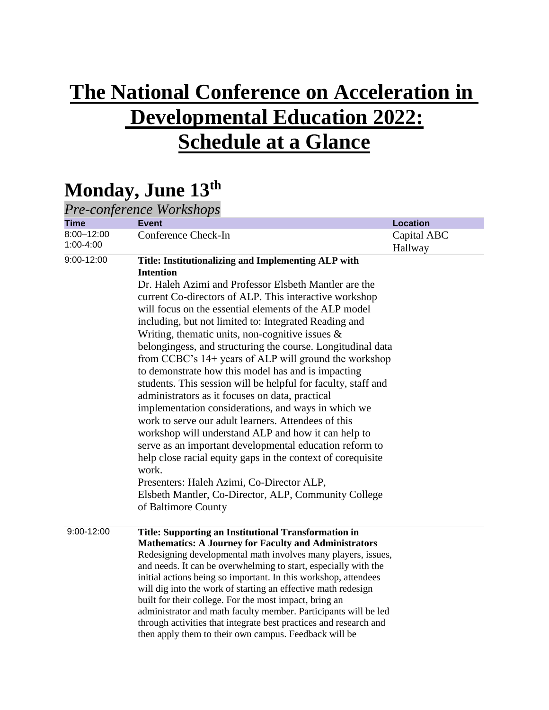## **The National Conference on Acceleration in Developmental Education 2022: Schedule at a Glance**

## **Monday, June 13th**

| Pre-conference Workshops |                                                                                                                                                                                                                                                                                                                                                                                                                                                                                                                                                                                                                                                                                                                                                                                                                                                                                                                                                                                                                                                                                                          |                        |  |  |
|--------------------------|----------------------------------------------------------------------------------------------------------------------------------------------------------------------------------------------------------------------------------------------------------------------------------------------------------------------------------------------------------------------------------------------------------------------------------------------------------------------------------------------------------------------------------------------------------------------------------------------------------------------------------------------------------------------------------------------------------------------------------------------------------------------------------------------------------------------------------------------------------------------------------------------------------------------------------------------------------------------------------------------------------------------------------------------------------------------------------------------------------|------------------------|--|--|
| <b>Time</b>              | <b>Event</b>                                                                                                                                                                                                                                                                                                                                                                                                                                                                                                                                                                                                                                                                                                                                                                                                                                                                                                                                                                                                                                                                                             | <b>Location</b>        |  |  |
| 8:00-12:00<br>1:00-4:00  | Conference Check-In                                                                                                                                                                                                                                                                                                                                                                                                                                                                                                                                                                                                                                                                                                                                                                                                                                                                                                                                                                                                                                                                                      | Capital ABC<br>Hallway |  |  |
| 9:00-12:00               | Title: Institutionalizing and Implementing ALP with<br><b>Intention</b><br>Dr. Haleh Azimi and Professor Elsbeth Mantler are the<br>current Co-directors of ALP. This interactive workshop<br>will focus on the essential elements of the ALP model<br>including, but not limited to: Integrated Reading and<br>Writing, thematic units, non-cognitive issues $\&$<br>belongingess, and structuring the course. Longitudinal data<br>from CCBC's 14+ years of ALP will ground the workshop<br>to demonstrate how this model has and is impacting<br>students. This session will be helpful for faculty, staff and<br>administrators as it focuses on data, practical<br>implementation considerations, and ways in which we<br>work to serve our adult learners. Attendees of this<br>workshop will understand ALP and how it can help to<br>serve as an important developmental education reform to<br>help close racial equity gaps in the context of corequisite<br>work.<br>Presenters: Haleh Azimi, Co-Director ALP,<br>Elsbeth Mantler, Co-Director, ALP, Community College<br>of Baltimore County |                        |  |  |
| $9:00 - 12:00$           | Title: Supporting an Institutional Transformation in<br><b>Mathematics: A Journey for Faculty and Administrators</b><br>Redesigning developmental math involves many players, issues,<br>and needs. It can be overwhelming to start, especially with the<br>initial actions being so important. In this workshop, attendees<br>will dig into the work of starting an effective math redesign<br>built for their college. For the most impact, bring an<br>administrator and math faculty member. Participants will be led<br>through activities that integrate best practices and research and<br>then apply them to their own campus. Feedback will be                                                                                                                                                                                                                                                                                                                                                                                                                                                  |                        |  |  |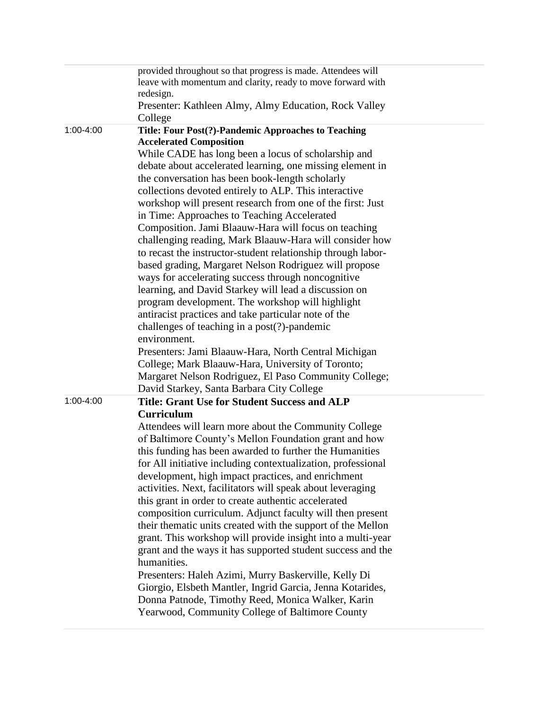|           | provided throughout so that progress is made. Attendees will               |
|-----------|----------------------------------------------------------------------------|
|           | leave with momentum and clarity, ready to move forward with                |
|           | redesign.                                                                  |
|           | Presenter: Kathleen Almy, Almy Education, Rock Valley                      |
|           | College                                                                    |
| 1:00-4:00 | Title: Four Post(?)-Pandemic Approaches to Teaching                        |
|           | <b>Accelerated Composition</b>                                             |
|           | While CADE has long been a locus of scholarship and                        |
|           | debate about accelerated learning, one missing element in                  |
|           | the conversation has been book-length scholarly                            |
|           | collections devoted entirely to ALP. This interactive                      |
|           | workshop will present research from one of the first: Just                 |
|           | in Time: Approaches to Teaching Accelerated                                |
|           | Composition. Jami Blaauw-Hara will focus on teaching                       |
|           | challenging reading, Mark Blaauw-Hara will consider how                    |
|           | to recast the instructor-student relationship through labor-               |
|           | based grading, Margaret Nelson Rodriguez will propose                      |
|           | ways for accelerating success through noncognitive                         |
|           | learning, and David Starkey will lead a discussion on                      |
|           | program development. The workshop will highlight                           |
|           | antiracist practices and take particular note of the                       |
|           | challenges of teaching in a post(?)-pandemic                               |
|           | environment.                                                               |
|           | Presenters: Jami Blaauw-Hara, North Central Michigan                       |
|           | College; Mark Blaauw-Hara, University of Toronto;                          |
|           | Margaret Nelson Rodriguez, El Paso Community College;                      |
|           | David Starkey, Santa Barbara City College                                  |
| 1:00-4:00 | <b>Title: Grant Use for Student Success and ALP</b>                        |
|           | Curriculum                                                                 |
|           | Attendees will learn more about the Community College                      |
|           | of Baltimore County's Mellon Foundation grant and how                      |
|           | this funding has been awarded to further the Humanities                    |
|           | for All initiative including contextualization, professional               |
|           | development, high impact practices, and enrichment                         |
|           | activities. Next, facilitators will speak about leveraging                 |
|           | this grant in order to create authentic accelerated                        |
|           | composition curriculum. Adjunct faculty will then present                  |
|           |                                                                            |
|           | their thematic units created with the support of the Mellon                |
|           | grant. This workshop will provide insight into a multi-year                |
|           | grant and the ways it has supported student success and the<br>humanities. |
|           |                                                                            |
|           | Presenters: Haleh Azimi, Murry Baskerville, Kelly Di                       |
|           | Giorgio, Elsbeth Mantler, Ingrid Garcia, Jenna Kotarides,                  |
|           | Donna Patnode, Timothy Reed, Monica Walker, Karin                          |
|           | Yearwood, Community College of Baltimore County                            |